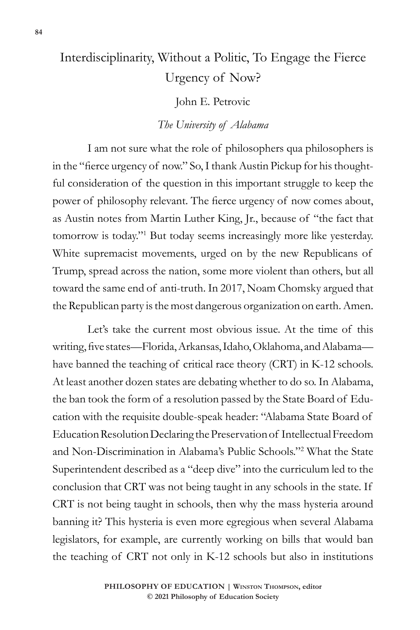## Interdisciplinarity, Without a Politic, To Engage the Fierce Urgency of Now?

John E. Petrovic

## *The University of Alabama*

I am not sure what the role of philosophers qua philosophers is in the "fierce urgency of now." So, I thank Austin Pickup for his thoughtful consideration of the question in this important struggle to keep the power of philosophy relevant. The fierce urgency of now comes about, as Austin notes from Martin Luther King, Jr., because of "the fact that tomorrow is today."<sup>1</sup> But today seems increasingly more like yesterday. White supremacist movements, urged on by the new Republicans of Trump, spread across the nation, some more violent than others, but all toward the same end of anti-truth. In 2017, Noam Chomsky argued that the Republican party is the most dangerous organization on earth. Amen.

Let's take the current most obvious issue. At the time of this writing, five states—Florida, Arkansas, Idaho, Oklahoma, and Alabama have banned the teaching of critical race theory (CRT) in K-12 schools. At least another dozen states are debating whether to do so. In Alabama, the ban took the form of a resolution passed by the State Board of Education with the requisite double-speak header: "Alabama State Board of Education Resolution Declaring the Preservation of Intellectual Freedom and Non-Discrimination in Alabama's Public Schools."<sup>2</sup> What the State Superintendent described as a "deep dive" into the curriculum led to the conclusion that CRT was not being taught in any schools in the state. If CRT is not being taught in schools, then why the mass hysteria around banning it? This hysteria is even more egregious when several Alabama legislators, for example, are currently working on bills that would ban the teaching of CRT not only in K-12 schools but also in institutions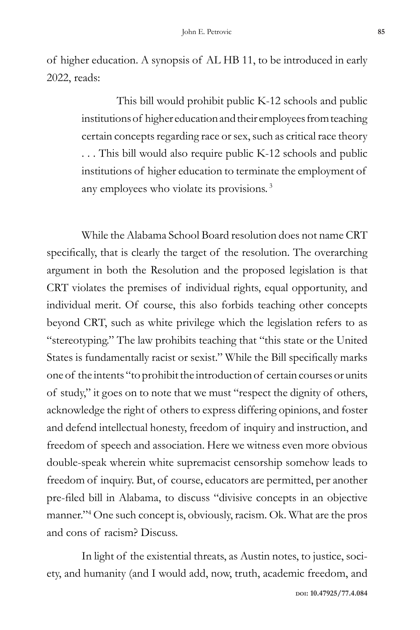of higher education. A synopsis of AL HB 11, to be introduced in early 2022, reads:

> This bill would prohibit public K-12 schools and public institutions of higher education and their employees from teaching certain concepts regarding race or sex, such as critical race theory . . . This bill would also require public K-12 schools and public institutions of higher education to terminate the employment of any employees who violate its provisions.<sup>3</sup>

While the Alabama School Board resolution does not name CRT specifically, that is clearly the target of the resolution. The overarching argument in both the Resolution and the proposed legislation is that CRT violates the premises of individual rights, equal opportunity, and individual merit. Of course, this also forbids teaching other concepts beyond CRT, such as white privilege which the legislation refers to as "stereotyping." The law prohibits teaching that "this state or the United States is fundamentally racist or sexist." While the Bill specifically marks one of the intents "to prohibit the introduction of certain courses or units of study," it goes on to note that we must "respect the dignity of others, acknowledge the right of others to express differing opinions, and foster and defend intellectual honesty, freedom of inquiry and instruction, and freedom of speech and association. Here we witness even more obvious double-speak wherein white supremacist censorship somehow leads to freedom of inquiry. But, of course, educators are permitted, per another pre-filed bill in Alabama, to discuss "divisive concepts in an objective manner."<sup>4</sup> One such concept is, obviously, racism. Ok. What are the pros and cons of racism? Discuss.

In light of the existential threats, as Austin notes, to justice, society, and humanity (and I would add, now, truth, academic freedom, and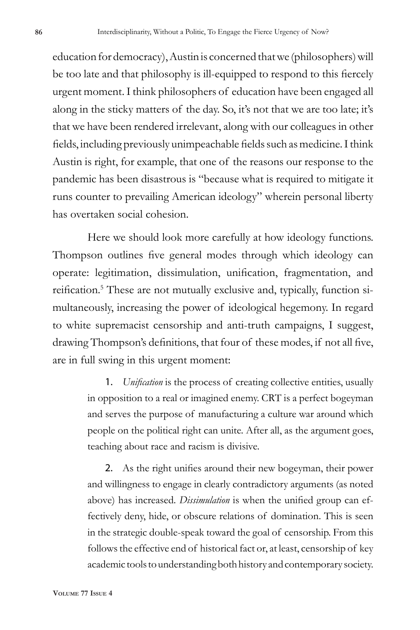education for democracy), Austin is concerned that we (philosophers) will be too late and that philosophy is ill-equipped to respond to this fiercely urgent moment. I think philosophers of education have been engaged all along in the sticky matters of the day. So, it's not that we are too late; it's that we have been rendered irrelevant, along with our colleagues in other fields, including previously unimpeachable fields such as medicine. I think Austin is right, for example, that one of the reasons our response to the pandemic has been disastrous is "because what is required to mitigate it runs counter to prevailing American ideology" wherein personal liberty has overtaken social cohesion.

Here we should look more carefully at how ideology functions. Thompson outlines five general modes through which ideology can operate: legitimation, dissimulation, unification, fragmentation, and reification.<sup>5</sup> These are not mutually exclusive and, typically, function simultaneously, increasing the power of ideological hegemony. In regard to white supremacist censorship and anti-truth campaigns, I suggest, drawing Thompson's definitions, that four of these modes, if not all five, are in full swing in this urgent moment:

> 1. *Unification* is the process of creating collective entities, usually in opposition to a real or imagined enemy. CRT is a perfect bogeyman and serves the purpose of manufacturing a culture war around which people on the political right can unite. After all, as the argument goes, teaching about race and racism is divisive.

> 2. As the right unifies around their new bogeyman, their power and willingness to engage in clearly contradictory arguments (as noted above) has increased. *Dissimulation* is when the unified group can effectively deny, hide, or obscure relations of domination. This is seen in the strategic double-speak toward the goal of censorship. From this follows the effective end of historical fact or, at least, censorship of key academic tools to understanding both history and contemporary society.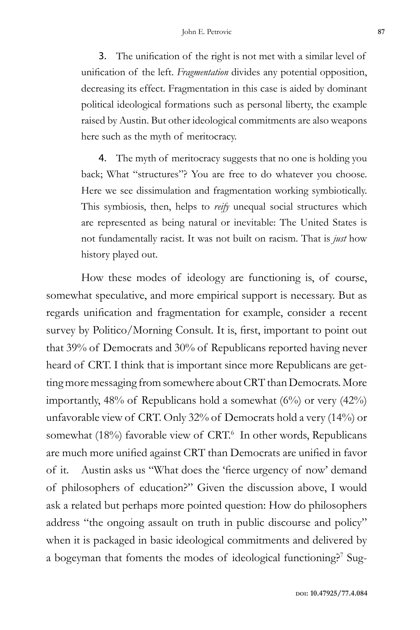3. The unification of the right is not met with a similar level of unification of the left. *Fragmentation* divides any potential opposition, decreasing its effect. Fragmentation in this case is aided by dominant political ideological formations such as personal liberty, the example raised by Austin. But other ideological commitments are also weapons here such as the myth of meritocracy.

4. The myth of meritocracy suggests that no one is holding you back; What "structures"? You are free to do whatever you choose. Here we see dissimulation and fragmentation working symbiotically. This symbiosis, then, helps to *reify* unequal social structures which are represented as being natural or inevitable: The United States is not fundamentally racist. It was not built on racism. That is *just* how history played out.

How these modes of ideology are functioning is, of course, somewhat speculative, and more empirical support is necessary. But as regards unification and fragmentation for example, consider a recent survey by Politico/Morning Consult. It is, first, important to point out that 39% of Democrats and 30% of Republicans reported having never heard of CRT. I think that is important since more Republicans are getting more messaging from somewhere about CRT than Democrats. More importantly,  $48\%$  of Republicans hold a somewhat  $(6\%)$  or very  $(42\%)$ unfavorable view of CRT. Only 32% of Democrats hold a very (14%) or somewhat (18%) favorable view of CRT.<sup>6</sup> In other words, Republicans are much more unified against CRT than Democrats are unified in favor of it. Austin asks us "What does the 'fierce urgency of now' demand of philosophers of education?" Given the discussion above, I would ask a related but perhaps more pointed question: How do philosophers address "the ongoing assault on truth in public discourse and policy" when it is packaged in basic ideological commitments and delivered by a bogeyman that foments the modes of ideological functioning?<sup>7</sup> Sug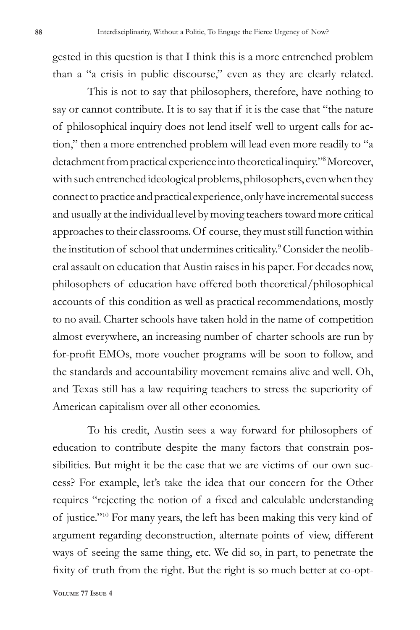gested in this question is that I think this is a more entrenched problem than a "a crisis in public discourse," even as they are clearly related.

This is not to say that philosophers, therefore, have nothing to say or cannot contribute. It is to say that if it is the case that "the nature of philosophical inquiry does not lend itself well to urgent calls for action," then a more entrenched problem will lead even more readily to "a detachment from practical experience into theoretical inquiry."<sup>8</sup> Moreover, with such entrenched ideological problems, philosophers, even when they connect to practice and practical experience, only have incremental success and usually at the individual level by moving teachers toward more critical approaches to their classrooms. Of course, they must still function within the institution of school that undermines criticality.<sup>9</sup> Consider the neoliberal assault on education that Austin raises in his paper. For decades now, philosophers of education have offered both theoretical/philosophical accounts of this condition as well as practical recommendations, mostly to no avail. Charter schools have taken hold in the name of competition almost everywhere, an increasing number of charter schools are run by for-profit EMOs, more voucher programs will be soon to follow, and the standards and accountability movement remains alive and well. Oh, and Texas still has a law requiring teachers to stress the superiority of American capitalism over all other economies.

To his credit, Austin sees a way forward for philosophers of education to contribute despite the many factors that constrain possibilities. But might it be the case that we are victims of our own success? For example, let's take the idea that our concern for the Other requires "rejecting the notion of a fixed and calculable understanding of justice."<sup>10</sup> For many years, the left has been making this very kind of argument regarding deconstruction, alternate points of view, different ways of seeing the same thing, etc. We did so, in part, to penetrate the fixity of truth from the right. But the right is so much better at co-opt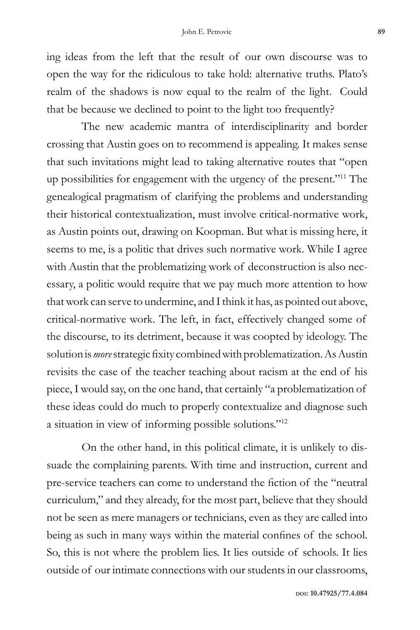ing ideas from the left that the result of our own discourse was to open the way for the ridiculous to take hold: alternative truths. Plato's realm of the shadows is now equal to the realm of the light. Could that be because we declined to point to the light too frequently?

The new academic mantra of interdisciplinarity and border crossing that Austin goes on to recommend is appealing. It makes sense that such invitations might lead to taking alternative routes that "open up possibilities for engagement with the urgency of the present."11 The genealogical pragmatism of clarifying the problems and understanding their historical contextualization, must involve critical-normative work, as Austin points out, drawing on Koopman. But what is missing here, it seems to me, is a politic that drives such normative work. While I agree with Austin that the problematizing work of deconstruction is also necessary, a politic would require that we pay much more attention to how that work can serve to undermine, and I think it has, as pointed out above, critical-normative work. The left, in fact, effectively changed some of the discourse, to its detriment, because it was coopted by ideology. The solution is *more* strategic fixity combined with problematization. As Austin revisits the case of the teacher teaching about racism at the end of his piece, I would say, on the one hand, that certainly "a problematization of these ideas could do much to properly contextualize and diagnose such a situation in view of informing possible solutions."<sup>12</sup>

On the other hand, in this political climate, it is unlikely to dissuade the complaining parents. With time and instruction, current and pre-service teachers can come to understand the fiction of the "neutral curriculum," and they already, for the most part, believe that they should not be seen as mere managers or technicians, even as they are called into being as such in many ways within the material confines of the school. So, this is not where the problem lies. It lies outside of schools. It lies outside of our intimate connections with our students in our classrooms,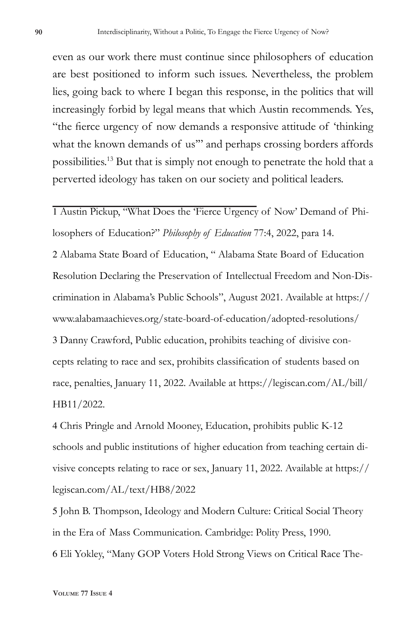even as our work there must continue since philosophers of education are best positioned to inform such issues. Nevertheless, the problem lies, going back to where I began this response, in the politics that will increasingly forbid by legal means that which Austin recommends. Yes, "the fierce urgency of now demands a responsive attitude of 'thinking what the known demands of us" and perhaps crossing borders affords possibilities.13 But that is simply not enough to penetrate the hold that a perverted ideology has taken on our society and political leaders.

1 Austin Pickup, "What Does the 'Fierce Urgency of Now' Demand of Philosophers of Education?" *Philosophy of Education* 77:4, 2022, para 14. 2 Alabama State Board of Education, " Alabama State Board of Education Resolution Declaring the Preservation of Intellectual Freedom and Non-Discrimination in Alabama's Public Schools", August 2021. Available at https:// www.alabamaachieves.org/state-board-of-education/adopted-resolutions/ 3 Danny Crawford, Public education, prohibits teaching of divisive concepts relating to race and sex, prohibits classification of students based on race, penalties, January 11, 2022. Available at https://legiscan.com/AL/bill/ HB11/2022.

4 Chris Pringle and Arnold Mooney, Education, prohibits public K-12 schools and public institutions of higher education from teaching certain divisive concepts relating to race or sex, January 11, 2022. Available at https:// legiscan.com/AL/text/HB8/2022

5 John B. Thompson, Ideology and Modern Culture: Critical Social Theory in the Era of Mass Communication. Cambridge: Polity Press, 1990. 6 Eli Yokley, "Many GOP Voters Hold Strong Views on Critical Race The